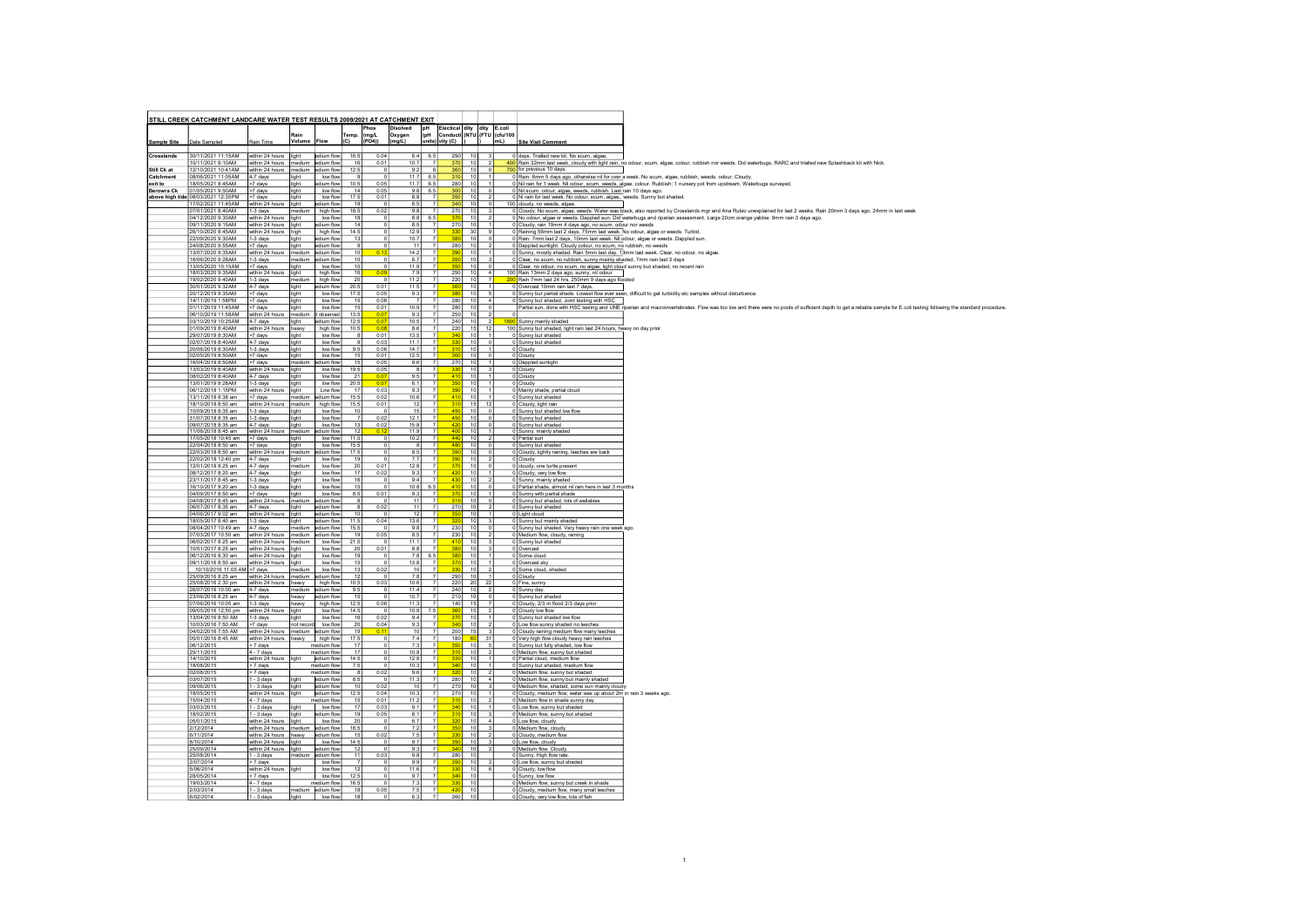|                    | STILL CREEK CATCHMENT LANDCARE WATER TEST RESULTS 2009/2021 AT CATCHMENT EXIT |                                                 |                   |                            |                         |                        |                  |            |                |                                                                                       |                                    |                                 |                                       |                                                                                                                                                                                                                                                                                                         |
|--------------------|-------------------------------------------------------------------------------|-------------------------------------------------|-------------------|----------------------------|-------------------------|------------------------|------------------|------------|----------------|---------------------------------------------------------------------------------------|------------------------------------|---------------------------------|---------------------------------------|---------------------------------------------------------------------------------------------------------------------------------------------------------------------------------------------------------------------------------------------------------------------------------------------------------|
|                    |                                                                               |                                                 |                   |                            |                         | Phos                   | <b>Disolved</b>  | pH<br>(pH  |                | Electical dity dity E.coli                                                            |                                    |                                 |                                       |                                                                                                                                                                                                                                                                                                         |
| <b>Sample Site</b> | Date Sampled                                                                  | Rain Time                                       | <b>Volum</b>      | Flow                       | Temp.<br>(C)            | (mglL)<br>(PO4))       | Oxygen<br>mg/L)  | units      |                | rity (C)                                                                              |                                    |                                 | Conducti (NTU (FTU (cfu/100<br>$mL$ ) | <b>Site Visit Comment</b>                                                                                                                                                                                                                                                                               |
|                    |                                                                               |                                                 |                   |                            |                         |                        |                  |            |                |                                                                                       |                                    |                                 |                                       |                                                                                                                                                                                                                                                                                                         |
| Crosslands         | 30/11/2021 11:15AM within 24 hours light                                      |                                                 |                   | edium flow                 | 16.5                    | 0.04                   |                  | 6.4<br>6.5 |                | 290                                                                                   | 10                                 |                                 |                                       | 0 days. Trialled new kit. No scum, algae,                                                                                                                                                                                                                                                               |
| Still Ck at        | 0/11/2021 9:10AM<br>12/10/2021 10:41AM within 24 hours medium                 | within 24 hours   medium                        |                   | edium flow<br>edium flow   | 16<br>12.5              | 0.01                   | 10.7<br>9.2      |            |                | $\begin{array}{ c c c }\n\hline\n370 & 10 \\ \hline\n360 & 10 \\ \hline\n\end{array}$ |                                    |                                 |                                       | 400 Rain 32mm last week, cloudy with light rain, no odour, scum, algae, colour, rubbish nor weeds. Did waterbugs, RARC and trialled new Splashback kit with Nick.<br>700 for previous 10 days.                                                                                                          |
| Catchment          | 08/06/2021 11:05AM 4-7 days                                                   |                                                 | light             | low flow                   |                         |                        | 11.7             | 6.5        |                | 310                                                                                   | $10^{-1}$                          |                                 |                                       | 0 Rain: 6mm 5 days ago, otherwise nil for over a week. No scum, algae, rubbish, weeds, odour, Cloudy,                                                                                                                                                                                                   |
| exit to            | 18/05/2021 8:45AM                                                             | >7 days<br>>7 days                              | light             | edium flow                 | 10.5                    | 0.05                   | 11.7             | 6.5        |                | 280 10                                                                                |                                    |                                 |                                       | 0 Nil rain for 1 week. Nil odour, scum, weeds, algae, colour, Rubbish; 1 nursery pot from upstream, Waterbugs surveyed.                                                                                                                                                                                 |
| <b>Berowra Ck</b>  | 01/05/2021 9:50AM<br>above high tide 08/03/2021 12:35PM >7 days               |                                                 | light<br>light    | low flow<br>low flow       | 14<br>17.5              | 0.05<br>0.01           | 9.8              | 6.5<br>8.8 |                | 300 <sub>1</sub><br>$350$ 10                                                          | 10                                 | n                               |                                       | 0 Nil scum, odour, algae, weeds, rubbish, Last rain 10 days ago,<br>0 Ni rain for last week. No odour, scum, algae,, weeds. Sunny but shaded.                                                                                                                                                           |
|                    | 17/02/2021 11:45AM                                                            | within 24 hours light                           |                   | edium flow                 | 18                      |                        | 6.5              |            |                | 340 10                                                                                |                                    |                                 |                                       | 100 cloudy, no weeds, algae,                                                                                                                                                                                                                                                                            |
|                    | 07/01/2021 8:40AM<br>04/12/2020 9:30AM                                        | 1-3 days<br>I within 24 hours I light           | medium            | high flow<br>low flow      | 18.5<br>18              | 0.02<br>- 0            | 9.8              | 8.8<br>65  |                | 270 10<br>370                                                                         | - 10                               | - 3                             |                                       | 0 Cloudy. No scum, algae, weeds. Water was black, also reported by Crosslands mgr and Ana Rubio unexplained for last 2 weeks. Rain 20mm 3 days ago, 24mm in last week<br>0 No odour, algae or weeds. Dappled sun. Did waterbugs and riparian assessment. Large 20cm orange yabbie. 9mm rain 3 days ago. |
|                    | 09/11/2020 9:15AM                                                             | within 24 hours light                           |                   | edium flow                 | 14                      | $\Omega$               | 8.5              |            |                | 270                                                                                   | 10                                 |                                 |                                       | 0 Cloudy, rain 19mm 4 days ago, no scum, odour nor weeds                                                                                                                                                                                                                                                |
|                    | 26/10/2020 8:45AM                                                             | within 24 hours high                            |                   | high flow                  | 14.5                    | $\Omega$               | 12.9             |            |                | 330                                                                                   | 30                                 | -91                             |                                       | 0 Raining 56mm last 2 days, 75mm last week. No odour, algae or weeds. Turbid,                                                                                                                                                                                                                           |
|                    | 22/09/2020 9:30AM<br>24/08/2020 9:55AM                                        | 1-3 days<br>>7 days                             | llight<br>light   | edium flow<br>edium flow   | 13<br>9                 | $\Omega$               | 10.7             | 11         |                | $380$ 10<br>280 10                                                                    |                                    | - ol                            |                                       | 0 Rain: 7mm last 2 days, 10mm last week. Nil odour, algae or weeds. Dappled sun.<br>0 Dappled sunlight. Cloudy colour, no scum, no rubbish, no weeds                                                                                                                                                    |
|                    | 13/07/2020 9:35AM                                                             | within 24 hours   medium                        |                   | edium flow                 | 10                      | 0.13                   | 14.2             |            |                | 390                                                                                   | 10                                 |                                 |                                       | 0 Sunny, mostly shaded. Rain 5mm last day, 13mm last week. Clear, no odour, no algae.                                                                                                                                                                                                                   |
|                    | 16/06/2020 9:28AM                                                             | 1-3 days                                        | medium            | edium flow                 | 10                      |                        | 6.7<br>11.9      |            |                |                                                                                       | 10<br>10                           |                                 |                                       | 0 Clear, no scum, no rubbish, sunny mainly shaded, 7mm rain last 3 days                                                                                                                                                                                                                                 |
|                    | 13/05/2020 10:15AM<br>18/03/2020 9:35AM                                       | $\sqrt{27}$ days<br>within 24 hours   light     | light             | low flow<br>high flow      | 10<br>16                | 0.09                   | $\circ$<br>79    |            |                | 350<br>250                                                                            | $10^{-1}$                          | ol<br>4                         |                                       | 0 Clear, no odour, no scum, no algae, light cloud sunny but shaded, no recent rain<br>100 Rain 13mm 2 days ago, sunny, nil odour                                                                                                                                                                        |
|                    | 19/02/2020 9:40AM                                                             | 1-3 days                                        | medium            | high flow                  | 20                      |                        | 11.2             |            | $\overline{7}$ | 220                                                                                   | 10                                 | $\overline{7}$                  |                                       | 200 Rain 7mm last 24 hrs, 250mm 9 days ago flooded                                                                                                                                                                                                                                                      |
|                    | 30/01/2020 9:32AM                                                             | 4-7 days                                        | light             | edium flow                 | 20.5                    | 0.01                   | 11.5             |            |                | 360                                                                                   | 10                                 | $\vert$ 1                       |                                       | 0 Overcast 10mm rain last 7 days.                                                                                                                                                                                                                                                                       |
|                    | 20/12/2019 9:35AM<br>4/11/2019 1:58PM                                         | >7 days<br>>7 days                              | light<br>light    | low flow<br>low flow       | 17.5<br>15              | 0.05<br>0.06           | 9.3              |            |                | 380<br>280                                                                            | 10<br>- 10                         | 5 <sup>1</sup>                  |                                       | 0 Sunny but partial shade. Lowest flow ever seen, difficult to get turbidity etc samples without disturbance.<br>0 Sunny but shaded, Joint testing with HSC                                                                                                                                             |
|                    | 01/11/2019 11:45AM                                                            | $>7$ days                                       | light             | low flow                   | $\overline{15}$         | 0.01                   | 10.9             |            |                | 280                                                                                   | $\overline{10}$                    | $\overline{\phantom{0}}$        |                                       | Partial sun, done with HSC testing and UNE riparian and macroinvertebrates. Flow was too low and there were no pools of sufficient depth to get a reliable sample for E.coli testing following the standard procedure.                                                                                  |
|                    | 06/10/2019 11:58AM                                                            | within 24 hours medium                          |                   | t observed                 | 13.5                    | 0.0                    | 9.3              |            |                | 250                                                                                   | 10                                 | $\overline{2}$                  |                                       |                                                                                                                                                                                                                                                                                                         |
|                    | 03/10/2019 10:25AM 4-7 days<br>01/09/2019 8:40AM                              | within 24 hours heavy                           | light             | edium flow<br>high flow    | 12.5<br>10.5            | 0.07<br>0.03           | 10.5<br>8.6      |            | $\overline{7}$ | 240<br>220                                                                            | 10<br>15                           | $\frac{1}{2}$<br>12             |                                       | 1600 Sunny mainly shaded<br>100 Sunny but shaded, light rain last 24 hours, heavy on day prior                                                                                                                                                                                                          |
|                    | 29/07/2019 8:30AM                                                             | >7 days                                         | light             | low flow                   | $\mathbf{a}$            | 0.01                   | 13.5             |            |                | 340                                                                                   | 10                                 | $\vert$ 1                       |                                       | 0 Sunny but shaded                                                                                                                                                                                                                                                                                      |
|                    | 02/07/2019 8:40AM<br>20/06/2019 8:30AM                                        | 4-7 days<br>1-3 days                            | light<br>light    | low flow<br>low flow       | 9.5                     | 0.03<br>0.06           | 11.1<br>14.7     |            |                |                                                                                       | 10<br>$-10$                        | $\Omega$                        |                                       | 0 Sunny but shaded<br>0 Cloudy                                                                                                                                                                                                                                                                          |
|                    | 02/05/2019 8:50AM                                                             | $>7$ days                                       | light             | low flow                   | $\overline{15}$         | 0.01                   | 12.5             |            |                | 300                                                                                   | $-10$                              | $\overline{0}$                  |                                       | 0 Cloudy                                                                                                                                                                                                                                                                                                |
|                    | 16/04/2019 8:50AM<br>13/03/2019 8:40AM                                        | $>7$ days                                       | medium            | edium flow<br>low flow     | 15<br>19.5              | 0.05<br>0.05           | 8.6              |            |                | 270<br>33 <sub>1</sub>                                                                | 10<br>10                           | $\vert$ 1                       |                                       | 0 Dappled sunlight                                                                                                                                                                                                                                                                                      |
|                    | 08/02/2019 8:40AM                                                             | within 24 hours<br>$4-7$ days                   | light<br>lliaht   | low flow                   | 21                      | 0.07                   | 9.5              | - 8        |                | 410                                                                                   | 10                                 | 31<br>$\vert$ 1                 |                                       | 0 Cloudy<br>0 Cloudy                                                                                                                                                                                                                                                                                    |
|                    | 13/01/2019 9:28AM                                                             | 1-3 days                                        | light             | low flow                   | 20.5                    | 00                     | 6.1              |            |                |                                                                                       | 10                                 |                                 |                                       | 0 Cloudy                                                                                                                                                                                                                                                                                                |
|                    | 06/12/2018 1:15PM<br>3/11/2018 8:38 am                                        | within 24 hours<br>>7 days                      | light<br>medium   | Low flow<br>edium flow     | $\overline{17}$<br>15.5 | 0.03<br>0.02           | 10.6             | 9.3        |                | $\overline{4}$                                                                        | $\overline{10}$<br>$-10$           |                                 |                                       | 0 Mainly shade, partial cloud<br>0 Sunny but shaded                                                                                                                                                                                                                                                     |
|                    | 18/10/2018 8:50 am                                                            | within 24 hours                                 | medium            | high flow                  | 15.5                    | 0.01                   |                  | 12         |                | 31                                                                                    | 15                                 | 12                              |                                       | 0 Cloudy, light rain                                                                                                                                                                                                                                                                                    |
|                    | 0/09/2018 8:35 am                                                             | 1-3 days                                        | light             | low flow                   | 10                      | $\overline{7}$         |                  | 15         |                | 45<br>450                                                                             | 10                                 | $\overline{\phantom{0}}$<br>ol  |                                       | 0 Sunny but shaded low flow                                                                                                                                                                                                                                                                             |
|                    | 31/07/2018 8:35 am<br>09/07/2018 8:35 am                                      | 1-3 days<br>4-7 days                            | light<br>light    | low flow<br>low flow       | 13                      | 0.02<br>0.02           | 12.1<br>15.8     |            |                | 42                                                                                    | 10<br>10                           | $^{\circ}$                      |                                       | 0 Sunny but shaded<br>0 Sunny but shaded                                                                                                                                                                                                                                                                |
|                    | 11/06/2018 8:45 am                                                            | within 24 hours                                 | Imedium           | edium flow                 | 12                      | 0.12                   | 11.9             |            |                | 400                                                                                   | 10                                 |                                 |                                       | 0 Sunny, mainly shaded                                                                                                                                                                                                                                                                                  |
|                    | 7/05/2018 10:45 am<br>22/04/2018 8:50 am                                      | >7 days<br>>7 days                              | light<br>light    | low flow<br>low flow       | 11.5<br>15.5            | $\overline{0}$         | 10.2             | 8          |                | 44<br>48                                                                              | $\overline{10}$<br>$\overline{10}$ | $\overline{0}$                  |                                       | 0 Partial sun<br>0 Sunny but shaded                                                                                                                                                                                                                                                                     |
|                    | 22/03/2018 8:50 am                                                            | within 24 hours                                 | medium            | edium flow                 | 17.5                    |                        | 8.5              |            |                |                                                                                       | 10                                 | $^{\circ}$                      |                                       | 0 Cloudy, lightly raining, leeches are back                                                                                                                                                                                                                                                             |
|                    | 22/02/2018 12:40 pm<br>12/01/2018 8:25 am                                     | 4-7 days<br>4-7 days                            | light<br>medium   | low flow<br>low flow       | 19<br>20                | $\circ$<br>0.01        | 7.7<br>12.8      |            |                | 37                                                                                    | 10<br>10                           | $\overline{2}$<br>$^{\circ}$    |                                       | 0 Cloudy<br>0 cloudy, one turtle present                                                                                                                                                                                                                                                                |
|                    | 08/12/2017 8:20 am                                                            | 4-7 days                                        | light             | low flow                   | 17                      | 0.02                   | 9.3              |            |                | 42                                                                                    | 10                                 |                                 |                                       | 0 Cloudy, very low flow                                                                                                                                                                                                                                                                                 |
|                    | 3/11/2017 8:45 am<br>6/10/2017 9:20 am                                        | 1-3 days<br>1-3 days                            | light<br>light    | low flow<br>low flow       | 16<br>15                |                        | 9.4<br>10.8      | 6.5        |                | 41                                                                                    | $\overline{10}$                    | $\overline{0}$                  |                                       | 0 Sunny, mainly shaded<br>0 Partial shade, almost nil rain here in last 3 months                                                                                                                                                                                                                        |
|                    | 04/09/2017 8:50 am                                                            | >7 days                                         | light             | low flow                   | 8.5                     | 0.01                   | 9.3              |            |                |                                                                                       | 10                                 |                                 |                                       | 0 Sunny with partial shade                                                                                                                                                                                                                                                                              |
|                    | 04/08/2017 8:45 am<br>06/07/2017 8:35 am                                      | within 24 hours<br>4-7 days                     | mediun<br>light   | edium flow<br>edium flow   | 8                       | $\overline{0}$<br>0.02 |                  | 11<br>11   |                | 310<br>270                                                                            | 10<br>10                           | $\circ$                         |                                       | 0 Sunny but shaded, lots of wallabies<br>0 Sunny but shaded                                                                                                                                                                                                                                             |
|                    | 04/06/2017 9:02 am                                                            | within 24 hours                                 | light             | edium flow                 | 10                      |                        |                  | 12         |                |                                                                                       | 10                                 |                                 |                                       | 0 Light cloud                                                                                                                                                                                                                                                                                           |
|                    | 8/05/2017 8:40 am                                                             | 1-3 days                                        | light             | edium flow                 | 11.5                    | 0.04                   | 13.6             |            |                |                                                                                       | $-10$                              |                                 |                                       | Sunny but mainly shaded                                                                                                                                                                                                                                                                                 |
|                    | 08/04/2017 10:49 am<br>7/03/2017 10:50 am                                     | $4-7$ days<br>within 24 hours                   | mediun<br>medium  | edium flow<br>dium flow    | 15.5<br>19              | 0.05                   | 9.8<br>8.5       |            |                | 230<br>230                                                                            |                                    |                                 |                                       | 0 Sunny but shaded. Very heavy rain one week ago.<br>0 Medium flow, cloudy, raining                                                                                                                                                                                                                     |
|                    | 06/02/2017 8:25 am                                                            | within 24 hours   medium                        |                   | low flow                   | 21.5                    |                        | 11.1             |            |                |                                                                                       | 10                                 |                                 |                                       | 0 Sunny but shaded                                                                                                                                                                                                                                                                                      |
|                    | 0/01/2017 8:25 am<br>06/12/2016 8:30 am                                       | within 24 hours light<br>within 24 hours light  |                   | low flow<br>low flow       | 20<br>19                | 0.01<br>- 0            | 8.8              | 7.8<br>6.5 |                |                                                                                       | 10<br>10                           |                                 |                                       | 0 Overcast<br>0 Some cloud                                                                                                                                                                                                                                                                              |
|                    | 09/11/2016 8:50 am<br>10/10/2016 11:05 AM >7 days                             | within 24 hours                                 | light<br>mediun   | low flow<br>low flow       | 15<br>13                | 0.02                   | 13.8             | 10         |                |                                                                                       | 10<br>10                           |                                 |                                       | 0 Overcast sky                                                                                                                                                                                                                                                                                          |
|                    | 25/09/2016 8:25 am                                                            | within 24 hours                                 | medium            | dium flow                  | 12                      |                        | 7.8              |            |                | 290                                                                                   | 10                                 |                                 |                                       | Some cloud, shaded<br>0 Cloudy                                                                                                                                                                                                                                                                          |
|                    | 25/08/2016 2:30 pm                                                            | within 24 hours                                 | heavy             | high flow                  | 10.5                    | 0.03                   | 10.6             |            |                | 220                                                                                   | 20                                 | 22                              |                                       | 0 Fine, sunn                                                                                                                                                                                                                                                                                            |
|                    | 26/07/2016 10:00 am<br>23/06/2016 8:25 am                                     | 4-7 days<br>$4-7$ days                          | medium<br>heavy   | edium flow<br>adium flow   | 9.5<br>15               |                        | 11.4<br>10.7     |            |                | 240<br>210                                                                            | 10<br>10                           |                                 |                                       | 0 Sunny day.<br>0 Sunny but shaded                                                                                                                                                                                                                                                                      |
|                    | 7/06/2016 10:05 am                                                            | 1-3 days                                        | heavy             | high flow                  | 12.5                    | 0.06                   | 11.3             |            |                | 140                                                                                   | 15                                 |                                 |                                       | 0 Cloudy, 2/3 m flood 2/3 days prior                                                                                                                                                                                                                                                                    |
|                    | 9/05/2016 12;50 pm                                                            | within 24 hours                                 | light             | low flow                   | 14.5                    |                        | 10.9             |            |                |                                                                                       |                                    |                                 |                                       | Cloudy low flow                                                                                                                                                                                                                                                                                         |
|                    | 3/04/2016 8:50 AM<br>0/03/2016 7:50 AM                                        | 1-3 days<br>>7 days                             | light<br>not reco | low flow<br>low flow       | 16<br>20                | 0.02<br>0.04           | 9.4<br>9.3       |            |                | 37<br>340                                                                             | 10<br>10                           | $\overline{2}$                  |                                       | 0 Sunny but shaded low flow<br>0 Low flow sunny shaded no leeches                                                                                                                                                                                                                                       |
|                    | 04/02/2016 7:55 AM                                                            | within 24 hours                                 | medium            | edium flow                 | 19                      | 0.1                    |                  | 10         |                | 200                                                                                   | 15                                 |                                 |                                       | 0 Cloudy raining medium flow many leeches                                                                                                                                                                                                                                                               |
|                    | 05/01/2016 8:45 AM                                                            | within 24 hours                                 | heavy             | high flow                  | 17.5                    |                        |                  | 7.4        |                | 180                                                                                   |                                    | 31                              |                                       | 0 Very high flow cloudy heavy rain leeches                                                                                                                                                                                                                                                              |
|                    | 06/12/2015<br>25/11/2015                                                      | > 7 days<br>$4 - 7$ days                        |                   | medium flow<br>medium flow | $\overline{17}$         |                        | 7.3<br>10.8      |            |                | $\overline{340}$                                                                      | 10<br>$\overline{10}$              |                                 |                                       | 0 Sunny but fully shaded, low flow<br>0 Medium flow, sunny but shaded                                                                                                                                                                                                                                   |
|                    | 14/10/2015                                                                    | within 24 hours                                 | light             | edium flow                 | 14.5                    |                        | 12.8             |            |                | 330                                                                                   | $-10$                              |                                 |                                       | 0 Partial cloud, medium flow                                                                                                                                                                                                                                                                            |
|                    | 18/08/2015<br>02/08/2015                                                      | > 7 days<br>> 7 days                            |                   | medium flow<br>medium flow | 7.5                     | 0.02                   | 10.3<br>9.6      |            |                | 340<br>320                                                                            | 10<br>10                           | $\overline{1}$<br>$\mathcal{P}$ |                                       | 0 Sunny but shaded, medium flow<br>0 Medium flow, sunny but shaded                                                                                                                                                                                                                                      |
|                    | 03/07/2015                                                                    | $1 - 3$ days                                    | light             | edium flow                 | 8.5                     |                        | 11.3             |            |                | $280$ 10                                                                              |                                    | 4                               |                                       | 0 Medium flow, sunny but mainly shaded                                                                                                                                                                                                                                                                  |
|                    | 9/06/2015                                                                     | $1 - 3$ days                                    | light             | edium flow<br>edium flow   | 12.5                    | 0.02                   |                  |            |                | 270                                                                                   | 10<br>10                           |                                 |                                       | 0 Medium flow, shaded, some sun mainly cloudy                                                                                                                                                                                                                                                           |
|                    | 18/05/2015<br>15/04/2015                                                      | within 24 hours<br>$4 - 7$ days                 | light             | nedium flow                | 15                      | 0.04<br>0.01           | 10.3<br>11.2     |            |                | 270<br>310                                                                            | 10                                 | $\overline{2}$                  |                                       | 0 Cloudy, medium flow, water was up about 2m in rain 3 weeks ago.<br>0 Medium flow in shade sunny day                                                                                                                                                                                                   |
|                    | 03/03/2015                                                                    | $1 - 3$ days                                    | light             | low flow                   | 17                      | 0.03                   |                  | 9.1        |                | 340                                                                                   | 10                                 |                                 |                                       | 0 Low flow, sunny but shaded                                                                                                                                                                                                                                                                            |
|                    | 18/02/2015                                                                    | $1 - 3$ days                                    | light             | edium flow                 | 19                      | 0.05                   | 8.1              |            |                | 310                                                                                   | 10                                 | -31<br>4                        |                                       | 0 Medium flow, sunny but shaded                                                                                                                                                                                                                                                                         |
|                    | 05/01/2015<br>2/12/2014                                                       | within 24 hours light<br>within 24 hours medium |                   | low flow<br>edium flow     | 20<br>18.5              |                        | 6.7<br>7.2       |            |                | 320<br>35                                                                             | 10<br>10                           | 3                               |                                       | 0 Low flow, cloudy<br>0 Medium flow, cloudy                                                                                                                                                                                                                                                             |
|                    | 6/11/2014                                                                     | within 24 hours heavy                           |                   | edium flow                 | 15                      | 0.02                   |                  | 7.5        |                | 330                                                                                   | 10                                 | $\left  \right $                |                                       | 0 Cloudy, medium flow                                                                                                                                                                                                                                                                                   |
|                    | 8/10/2014                                                                     | within 24 hours light                           |                   | low flow<br>edium flow     | 14.5                    |                        |                  | 9.7        |                | 350<br>340                                                                            | 10<br>10                           | $\vert$ <sub>3</sub>            |                                       | 0 Low flow, cloudy                                                                                                                                                                                                                                                                                      |
|                    | 25/09/2014<br>25/08/2014                                                      | within 24 hours light<br>$1 - 3$ days           | Imedium           | edium flow                 | 12<br>11                | 0.03                   | 98               | 9.3        | 키              | 280                                                                                   | 10                                 |                                 |                                       | 0 Medium flow. Cloudy.<br>0 Sunny. High flow rate                                                                                                                                                                                                                                                       |
|                    | 2/07/2014                                                                     | $> 7$ days                                      |                   | low flow                   |                         | $\overline{7}$         | $\circ$          | 9.9        | 7 <sup>1</sup> | 350                                                                                   | 10                                 | 3 <sup>1</sup>                  |                                       | 0 Low flow, sunny but shaded                                                                                                                                                                                                                                                                            |
|                    | 5/06/2014<br>28/05/2014                                                       | within 24 hours light<br>$> 7$ days             |                   | low flow<br>low flow       | 12<br>12.5              |                        | 11.6<br>$\Omega$ | 9.7        | 7<br>7         | 330<br>$340$ 10                                                                       | 10                                 | 6                               |                                       | 0 Cloudy, low flow<br>0 Sunny, low flow                                                                                                                                                                                                                                                                 |
|                    | 19/03/2014                                                                    | 4 - 7 days                                      |                   | medium flow                | 16.5                    |                        | 7.3              |            |                | $-330$                                                                                | 10                                 |                                 |                                       | 0 Medium flow, sunny but creek in shade                                                                                                                                                                                                                                                                 |
|                    | 2/03/2014                                                                     | $1 - 3$ days                                    |                   | medium edium flow          | 18                      | 0.05                   |                  | 7.5        | $\overline{7}$ | 420                                                                                   | 10                                 |                                 |                                       | 0 Cloudy, medium flow, many small leeches                                                                                                                                                                                                                                                               |
|                    | 6/02/2014                                                                     | $1 - 3$ days                                    | light             | low flow                   | 18                      |                        | 0                | 6.3        | 7              | 260                                                                                   | 10                                 |                                 |                                       | 0 Cloudy, very low flow, lots of fish                                                                                                                                                                                                                                                                   |

 $\mathbf{1}$  1 and  $\mathbf{1}$  1 and  $\mathbf{1}$  1 and  $\mathbf{1}$  1 and  $\mathbf{1}$